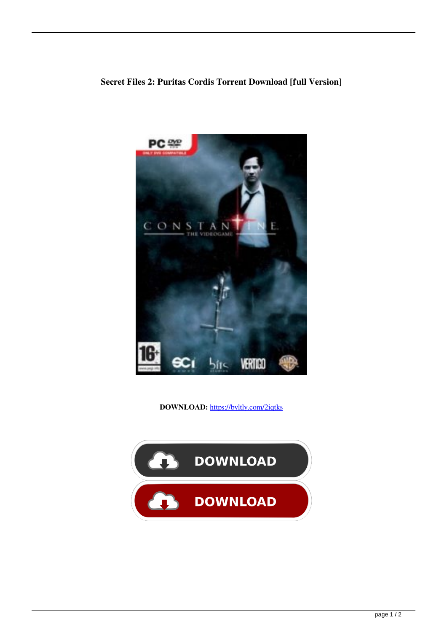

**DOWNLOAD:** <https://byltly.com/2iqtks>